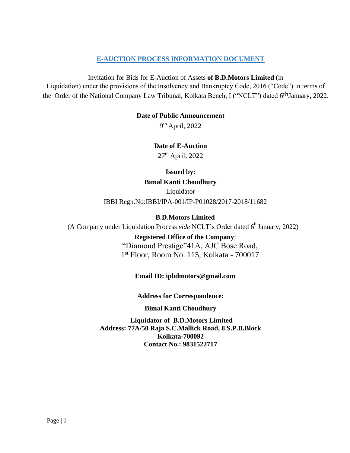# **E-AUCTION PROCESS INFORMATION DOCUMENT**

Invitation for Bids for E-Auction of Assets **of B.D.Motors Limited** (in Liquidation) under the provisions of the Insolvency and Bankruptcy Code, 2016 ("Code") in terms of the Order of the National Company Law Tribunal, Kolkata Bench, I ("NCLT") dated 6thJanuary, 2022.

#### **Date of Public Announcement**

9<sup>th</sup> April, 2022

**Date of E-Auction**

27<sup>th</sup> April, 2022

#### **Issued by:**

**Bimal Kanti Choudhury**

Liquidator IBBI Regn.No:IBBI/IPA-001/IP-P01028/2017-2018/11682

# **B.D.Motors Limited**

(A Company under Liquidation Process *vide* NCLT's Order dated 6<sup>th</sup>January, 2022)

**Registered Office of the Company**: "Diamond Prestige"41A, AJC Bose Road, 1 st Floor, Room No. 115, Kolkata - 700017

# **Email ID: ipbdmotors@gmail.com**

**Address for Correspondence:**

#### **Bimal Kanti Choudhury**

**Liquidator of B.D.Motors Limited Address: 77A/50 Raja S.C.Mallick Road, 8 S.P.B.Block Kolkata-700092 Contact No.: 9831522717**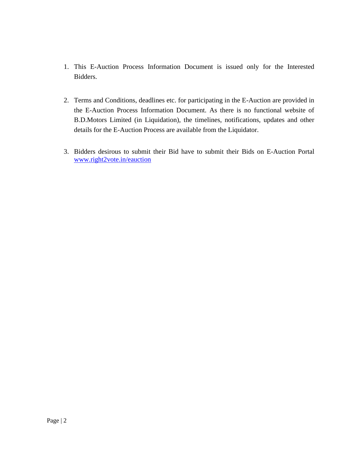- 1. This E-Auction Process Information Document is issued only for the Interested Bidders.
- 2. Terms and Conditions, deadlines etc. for participating in the E-Auction are provided in the E-Auction Process Information Document. As there is no functional website of B.D.Motors Limited (in Liquidation), the timelines, notifications, updates and other details for the E-Auction Process are available from the Liquidator.
- 3. Bidders desirous to submit their Bid have to submit their Bids on E-Auction Portal [www.right2vote.in/](http://www.right2vote.in/)eauction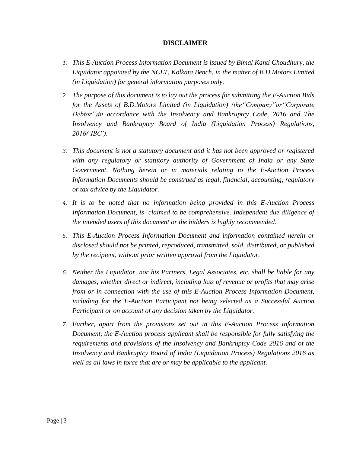#### **DISCLAIMER**

- *1. This E-Auction Process Information Document is issued by Bimal Kanti Choudhury, the Liquidator appointed by the NCLT, Kolkata Bench, in the matter of B.D.Motors Limited (in Liquidation) for general information purposes only.*
- *2. The purpose of this document is to lay out the process for submitting the E-Auction Bids for the Assets of B.D.Motors Limited (in Liquidation) (the"Company"or"Corporate Debtor")in accordance with the Insolvency and Bankruptcy Code, 2016 and The Insolvency and Bankruptcy Board of India (Liquidation Process) Regulations, 2016('IBC').*
- *3. This document is not a statutory document and it has not been approved or registered with any regulatory or statutory authority of Government of India or any State Government. Nothing herein or in materials relating to the E-Auction Process Information Documents should be construed as legal, financial, accounting, regulatory or tax advice by the Liquidator.*
- *4. It is to be noted that no information being provided in this E-Auction Process Information Document, is claimed to be comprehensive. Independent due diligence of the intended users of this document or the bidders is highly recommended.*
- *5. This E-Auction Process Information Document and information contained herein or disclosed should not be printed, reproduced, transmitted, sold, distributed, or published by the recipient, without prior written approval from the Liquidator.*
- *6. Neither the Liquidator, nor his Partners, Legal Associates, etc. shall be liable for any damages, whether direct or indirect, including loss of revenue or profits that may arise from or in connection with the use of this E-Auction Process Information Document, including for the E-Auction Participant not being selected as a Successful Auction Participant or on account of any decision taken by the Liquidator.*
- *7. Further, apart from the provisions set out in this E-Auction Process Information Document, the E-Auction process applicant shall be responsible for fully satisfying the requirements and provisions of the Insolvency and Bankruptcy Code 2016 and of the Insolvency and Bankruptcy Board of India (Liquidation Process) Regulations 2016 as well as all laws in force that are or may be applicable to the applicant.*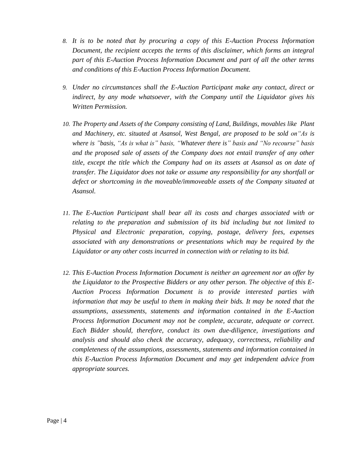- *8. It is to be noted that by procuring a copy of this E-Auction Process Information Document, the recipient accepts the terms of this disclaimer, which forms an integral part of this E-Auction Process Information Document and part of all the other terms and conditions of this E-Auction Process Information Document.*
- *9. Under no circumstances shall the E-Auction Participant make any contact, direct or indirect, by any mode whatsoever, with the Company until the Liquidator gives his Written Permission.*
- *10. The Property and Assets of the Company consisting of Land, Buildings, movables like Plant and Machinery, etc. situated at Asansol, West Bengal, are proposed to be sold on"As is where is "basis, "As is what is" basis, "Whatever there is" basis and "No recourse" basis and the proposed sale of assets of the Company does not entail transfer of any other title, except the title which the Company had on its assets at Asansol as on date of transfer. The Liquidator does not take or assume any responsibility for any shortfall or defect or shortcoming in the moveable/immoveable assets of the Company situated at Asansol.*
- *11. The E-Auction Participant shall bear all its costs and charges associated with or relating to the preparation and submission of its bid including but not limited to Physical and Electronic preparation, copying, postage, delivery fees, expenses associated with any demonstrations or presentations which may be required by the Liquidator or any other costs incurred in connection with or relating to its bid.*
- *12. This E-Auction Process Information Document is neither an agreement nor an offer by the Liquidator to the Prospective Bidders or any other person. The objective of this E-Auction Process Information Document is to provide interested parties with information that may be useful to them in making their bids. It may be noted that the assumptions, assessments, statements and information contained in the E-Auction Process Information Document may not be complete, accurate, adequate or correct. Each Bidder should, therefore, conduct its own due-diligence, investigations and analysis and should also check the accuracy, adequacy, correctness, reliability and completeness of the assumptions, assessments, statements and information contained in this E-Auction Process Information Document and may get independent advice from appropriate sources.*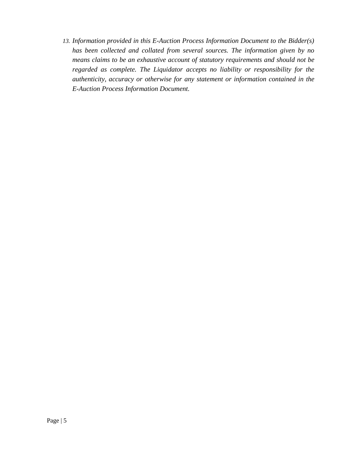*13. Information provided in this E-Auction Process Information Document to the Bidder(s) has been collected and collated from several sources. The information given by no means claims to be an exhaustive account of statutory requirements and should not be regarded as complete. The Liquidator accepts no liability or responsibility for the authenticity, accuracy or otherwise for any statement or information contained in the E-Auction Process Information Document.*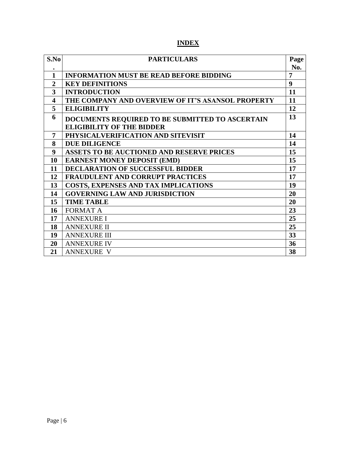# **INDEX**

| S.No             | <b>PARTICULARS</b>                                | Page           |
|------------------|---------------------------------------------------|----------------|
|                  |                                                   | No.            |
| 1                | <b>INFORMATION MUST BE READ BEFORE BIDDING</b>    | $\overline{7}$ |
| $\overline{2}$   | <b>KEY DEFINITIONS</b>                            | 9              |
| 3                | <b>INTRODUCTION</b>                               | 11             |
| 4                | THE COMPANY AND OVERVIEW OF IT'S ASANSOL PROPERTY | 11             |
| 5                | <b>ELIGIBILITY</b>                                | 12             |
| 6                | DOCUMENTS REQUIRED TO BE SUBMITTED TO ASCERTAIN   | 13             |
|                  | <b>ELIGIBILITY OF THE BIDDER</b>                  |                |
| 7                | PHYSICALVERIFICATION AND SITEVISIT                | 14             |
| 8                | <b>DUE DILIGENCE</b>                              | 14             |
| $\boldsymbol{9}$ | <b>ASSETS TO BE AUCTIONED AND RESERVE PRICES</b>  | 15             |
| 10               | <b>EARNEST MONEY DEPOSIT (EMD)</b>                | 15             |
| 11               | <b>DECLARATION OF SUCCESSFUL BIDDER</b>           | 17             |
| 12               | FRAUDULENT AND CORRUPT PRACTICES                  | 17             |
| 13               | <b>COSTS, EXPENSES AND TAX IMPLICATIONS</b>       | 19             |
| 14               | <b>GOVERNING LAW AND JURISDICTION</b>             | 20             |
| 15               | <b>TIME TABLE</b>                                 | 20             |
| 16               | <b>FORMAT A</b>                                   | 23             |
| 17               | <b>ANNEXURE I</b>                                 | 25             |
| 18               | <b>ANNEXURE II</b>                                | 25             |
| 19               | <b>ANNEXURE III</b>                               | 33             |
| 20               | <b>ANNEXURE IV</b>                                | 36             |
| 21               | <b>ANNEXURE V</b>                                 | 38             |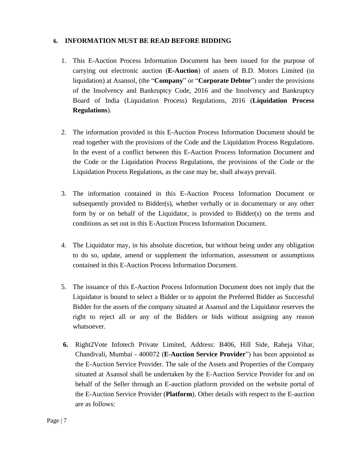# **6. INFORMATION MUST BE READ BEFORE BIDDING**

- 1. This E-Auction Process Information Document has been issued for the purpose of carrying out electronic auction (**E-Auction**) of assets of B.D. Motors Limited (in liquidation) at Asansol, (the "**Company**" or "**Corporate Debtor**") under the provisions of the Insolvency and Bankruptcy Code, 2016 and the Insolvency and Bankruptcy Board of India (Liquidation Process) Regulations, 2016 (**Liquidation Process Regulations**).
- 2. The information provided in this E-Auction Process Information Document should be read together with the provisions of the Code and the Liquidation Process Regulations. In the event of a conflict between this E-Auction Process Information Document and the Code or the Liquidation Process Regulations, the provisions of the Code or the Liquidation Process Regulations, as the case may be, shall always prevail.
- 3. The information contained in this E-Auction Process Information Document or subsequently provided to Bidder(s), whether verbally or in documentary or any other form by or on behalf of the Liquidator, is provided to Bidder(s) on the terms and conditions as set out in this E-Auction Process Information Document.
- 4. The Liquidator may, in his absolute discretion, but without being under any obligation to do so, update, amend or supplement the information, assessment or assumptions contained in this E-Auction Process Information Document.
- 5. The issuance of this E-Auction Process Information Document does not imply that the Liquidator is bound to select a Bidder or to appoint the Preferred Bidder as Successful Bidder for the assets of the company situated at Asansol and the Liquidator reserves the right to reject all or any of the Bidders or bids without assigning any reason whatsoever.
- **6.** Right2Vote Infotech Private Limited, Address: B406, Hill Side, Raheja Vihar, Chandivali, Mumbai - 400072 (**E-Auction Service Provider**") has been appointed as the E-Auction Service Provider. The sale of the Assets and Properties of the Company situated at Asansol shall be undertaken by the E-Auction Service Provider for and on behalf of the Seller through an E-auction platform provided on the website portal of the E-Auction Service Provider (**Platform**). Other details with respect to the E-auction are as follows: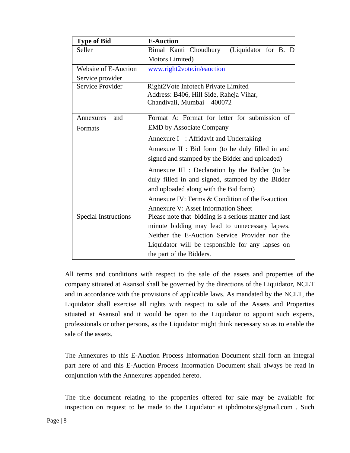| <b>Type of Bid</b>          | <b>E-Auction</b>                                                                                                                             |  |  |
|-----------------------------|----------------------------------------------------------------------------------------------------------------------------------------------|--|--|
| Seller                      | Bimal Kanti Choudhury<br>(Liquidator for B. D                                                                                                |  |  |
|                             | Motors Limited)                                                                                                                              |  |  |
| Website of E-Auction        | www.right2vote.in/eauction                                                                                                                   |  |  |
| Service provider            |                                                                                                                                              |  |  |
| Service Provider            | Right2Vote Infotech Private Limited<br>Address: B406, Hill Side, Raheja Vihar,<br>Chandivali, Mumbai - 400072                                |  |  |
| Annexures<br>and            | Format A: Format for letter for submission of                                                                                                |  |  |
| Formats                     | <b>EMD</b> by Associate Company                                                                                                              |  |  |
|                             | Annexure I : Affidavit and Undertaking<br>Annexure II : Bid form (to be duly filled in and<br>signed and stamped by the Bidder and uploaded) |  |  |
|                             | Annexure III : Declaration by the Bidder (to be<br>duly filled in and signed, stamped by the Bidder<br>and uploaded along with the Bid form) |  |  |
|                             | Annexure IV: Terms & Condition of the E-auction                                                                                              |  |  |
|                             | <b>Annexure V: Asset Information Sheet</b>                                                                                                   |  |  |
| <b>Special Instructions</b> | Please note that bidding is a serious matter and last                                                                                        |  |  |
|                             | minute bidding may lead to unnecessary lapses.                                                                                               |  |  |
|                             | Neither the E-Auction Service Provider nor the                                                                                               |  |  |
|                             | Liquidator will be responsible for any lapses on                                                                                             |  |  |
|                             | the part of the Bidders.                                                                                                                     |  |  |

All terms and conditions with respect to the sale of the assets and properties of the company situated at Asansol shall be governed by the directions of the Liquidator, NCLT and in accordance with the provisions of applicable laws. As mandated by the NCLT, the Liquidator shall exercise all rights with respect to sale of the Assets and Properties situated at Asansol and it would be open to the Liquidator to appoint such experts, professionals or other persons, as the Liquidator might think necessary so as to enable the sale of the assets.

The Annexures to this E-Auction Process Information Document shall form an integral part here of and this E-Auction Process Information Document shall always be read in conjunction with the Annexures appended hereto.

The title document relating to the properties offered for sale may be available for inspection on request to be made to the Liquidator at ipbdmotors@gmail.com . Such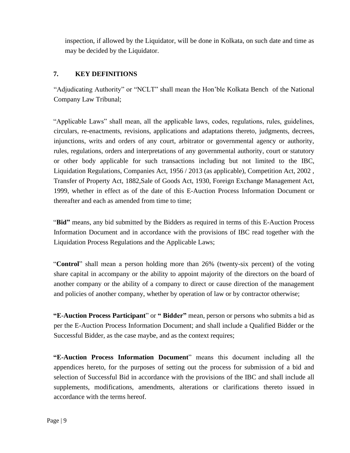inspection, if allowed by the Liquidator, will be done in Kolkata, on such date and time as may be decided by the Liquidator.

# **7. KEY DEFINITIONS**

"Adjudicating Authority" or "NCLT" shall mean the Hon'ble Kolkata Bench of the National Company Law Tribunal;

"Applicable Laws" shall mean, all the applicable laws, codes, regulations, rules, guidelines, circulars, re-enactments, revisions, applications and adaptations thereto, judgments, decrees, injunctions, writs and orders of any court, arbitrator or governmental agency or authority, rules, regulations, orders and interpretations of any governmental authority, court or statutory or other body applicable for such transactions including but not limited to the IBC, Liquidation Regulations, Companies Act, 1956 / 2013 (as applicable), Competition Act, 2002 , Transfer of Property Act, 1882,Sale of Goods Act, 1930, Foreign Exchange Management Act, 1999, whether in effect as of the date of this E-Auction Process Information Document or thereafter and each as amended from time to time;

"**Bid"** means, any bid submitted by the Bidders as required in terms of this E-Auction Process Information Document and in accordance with the provisions of IBC read together with the Liquidation Process Regulations and the Applicable Laws;

"**Control**" shall mean a person holding more than 26% (twenty-six percent) of the voting share capital in accompany or the ability to appoint majority of the directors on the board of another company or the ability of a company to direct or cause direction of the management and policies of another company, whether by operation of law or by contractor otherwise;

**"E**-**Auction Process Participant**" or **" Bidder"** mean, person or persons who submits a bid as per the E-Auction Process Information Document; and shall include a Qualified Bidder or the Successful Bidder, as the case maybe, and as the context requires;

**"E-Auction Process Information Document**" means this document including all the appendices hereto, for the purposes of setting out the process for submission of a bid and selection of Successful Bid in accordance with the provisions of the IBC and shall include all supplements, modifications, amendments, alterations or clarifications thereto issued in accordance with the terms hereof.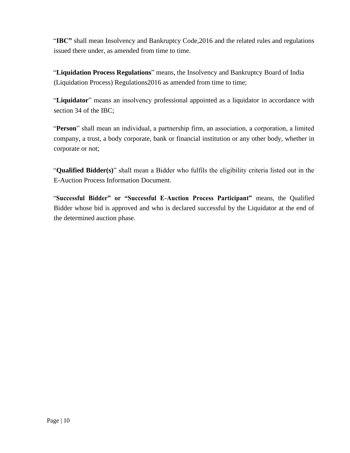"**IBC"** shall mean Insolvency and Bankruptcy Code,2016 and the related rules and regulations issued there under, as amended from time to time.

"**Liquidation Process Regulations**" means, the Insolvency and Bankruptcy Board of India (Liquidation Process) Regulations2016 as amended from time to time;

"**Liquidator**" means an insolvency professional appointed as a liquidator in accordance with section 34 of the IBC;

"**Person**" shall mean an individual, a partnership firm, an association, a corporation, a limited company, a trust, a body corporate, bank or financial institution or any other body, whether in corporate or not;

"**Qualified Bidder(s)**" shall mean a Bidder who fulfils the eligibility criteria listed out in the E-Auction Process Information Document.

"**Successful Bidder" or "Successful E-Auction Process Participant"** means, the Qualified Bidder whose bid is approved and who is declared successful by the Liquidator at the end of the determined auction phase.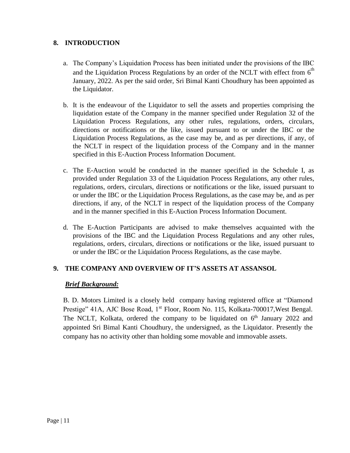# **8. INTRODUCTION**

- a. The Company's Liquidation Process has been initiated under the provisions of the IBC and the Liquidation Process Regulations by an order of the NCLT with effect from  $6<sup>th</sup>$ January, 2022. As per the said order, Sri Bimal Kanti Choudhury has been appointed as the Liquidator.
- b. It is the endeavour of the Liquidator to sell the assets and properties comprising the liquidation estate of the Company in the manner specified under Regulation 32 of the Liquidation Process Regulations, any other rules, regulations, orders, circulars, directions or notifications or the like, issued pursuant to or under the IBC or the Liquidation Process Regulations, as the case may be, and as per directions, if any, of the NCLT in respect of the liquidation process of the Company and in the manner specified in this E-Auction Process Information Document.
- c. The E-Auction would be conducted in the manner specified in the Schedule I, as provided under Regulation 33 of the Liquidation Process Regulations, any other rules, regulations, orders, circulars, directions or notifications or the like, issued pursuant to or under the IBC or the Liquidation Process Regulations, as the case may be, and as per directions, if any, of the NCLT in respect of the liquidation process of the Company and in the manner specified in this E-Auction Process Information Document.
- d. The E-Auction Participants are advised to make themselves acquainted with the provisions of the IBC and the Liquidation Process Regulations and any other rules, regulations, orders, circulars, directions or notifications or the like, issued pursuant to or under the IBC or the Liquidation Process Regulations, as the case maybe.

# **9. THE COMPANY AND OVERVIEW OF IT'S ASSETS AT ASSANSOL**

#### *Brief Background:*

B. D. Motors Limited is a closely held company having registered office at "Diamond Prestige" 41A, AJC Bose Road, 1<sup>st</sup> Floor, Room No. 115, Kolkata-700017, West Bengal. The NCLT, Kolkata, ordered the company to be liquidated on  $6<sup>th</sup>$  January 2022 and appointed Sri Bimal Kanti Choudhury, the undersigned, as the Liquidator. Presently the company has no activity other than holding some movable and immovable assets.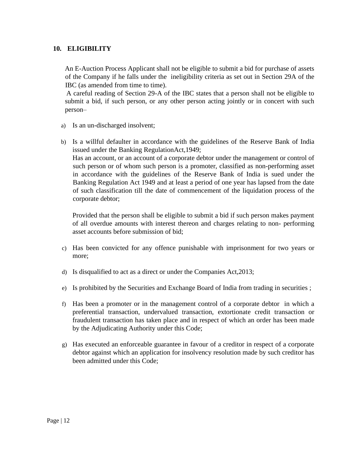# **10. ELIGIBILITY**

An E-Auction Process Applicant shall not be eligible to submit a bid for purchase of assets of the Company if he falls under the ineligibility criteria as set out in Section 29A of the IBC (as amended from time to time).

A careful reading of Section 29-A of the IBC states that a person shall not be eligible to submit a bid, if such person, or any other person acting jointly or in concert with such person–

- a) Is an un-discharged insolvent;
- b) Is a willful defaulter in accordance with the guidelines of the Reserve Bank of India issued under the Banking RegulationAct,1949; Has an account, or an account of a corporate debtor under the management or control of such person or of whom such person is a promoter, classified as non-performing asset in accordance with the guidelines of the Reserve Bank of India is sued under the Banking Regulation Act 1949 and at least a period of one year has lapsed from the date of such classification till the date of commencement of the liquidation process of the corporate debtor;

Provided that the person shall be eligible to submit a bid if such person makes payment of all overdue amounts with interest thereon and charges relating to non- performing asset accounts before submission of bid;

- c) Has been convicted for any offence punishable with imprisonment for two years or more;
- d) Is disqualified to act as a direct or under the Companies Act,2013;
- e) Is prohibited by the Securities and Exchange Board of India from trading in securities ;
- f) Has been a promoter or in the management control of a corporate debtor in which a preferential transaction, undervalued transaction, extortionate credit transaction or fraudulent transaction has taken place and in respect of which an order has been made by the Adjudicating Authority under this Code;
- g) Has executed an enforceable guarantee in favour of a creditor in respect of a corporate debtor against which an application for insolvency resolution made by such creditor has been admitted under this Code;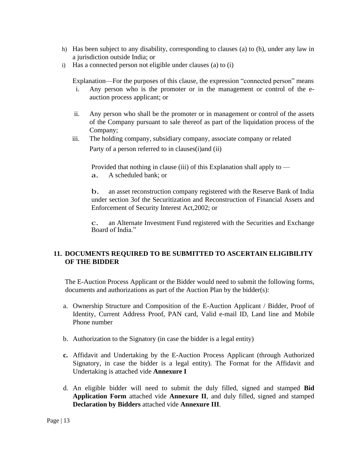- h) Has been subject to any disability, corresponding to clauses (a) to (h), under any law in a jurisdiction outside India; or
- i) Has a connected person not eligible under clauses (a) to (i)

Explanation—For the purposes of this clause, the expression "connected person" means

- i. Any person who is the promoter or in the management or control of the eauction process applicant; or
- ii. Any person who shall be the promoter or in management or control of the assets of the Company pursuant to sale thereof as part of the liquidation process of the Company;
- iii. The holding company, subsidiary company, associate company or related Party of a person referred to in clauses(i)and (ii)

Provided that nothing in clause (iii) of this Explanation shall apply to a. <sup>A</sup> scheduled bank; or

b. an asset reconstruction company registered with the Reserve Bank of India under section 3of the Securitization and Reconstruction of Financial Assets and Enforcement of Security Interest Act,2002; or

c. an Alternate Investment Fund registered with the Securities and Exchange Board of India."

# **11. DOCUMENTS REQUIRED TO BE SUBMITTED TO ASCERTAIN ELIGIBILITY OF THE BIDDER**

The E-Auction Process Applicant or the Bidder would need to submit the following forms, documents and authorizations as part of the Auction Plan by the bidder(s):

- a. Ownership Structure and Composition of the E-Auction Applicant / Bidder, Proof of Identity, Current Address Proof, PAN card, Valid e-mail ID, Land line and Mobile Phone number
- b. Authorization to the Signatory (in case the bidder is a legal entity)
- **c.** Affidavit and Undertaking by the E-Auction Process Applicant (through Authorized Signatory, in case the bidder is a legal entity). The Format for the Affidavit and Undertaking is attached vide **Annexure I**
- d. An eligible bidder will need to submit the duly filled, signed and stamped **Bid Application Form** attached vide **Annexure II**, and duly filled, signed and stamped **Declaration by Bidders** attached vide **Annexure III**.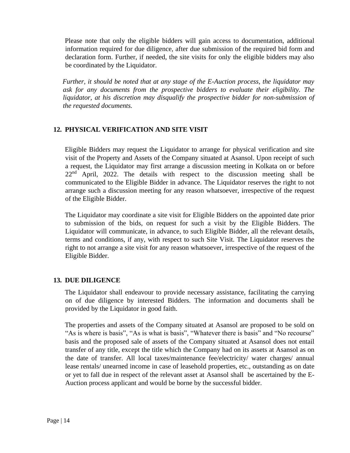Please note that only the eligible bidders will gain access to documentation, additional information required for due diligence, after due submission of the required bid form and declaration form. Further, if needed, the site visits for only the eligible bidders may also be coordinated by the Liquidator.

*Further, it should be noted that at any stage of the E-Auction process, the liquidator may ask for any documents from the prospective bidders to evaluate their eligibility. The liquidator, at his discretion may disqualify the prospective bidder for non-submission of the requested documents.*

# **12. PHYSICAL VERIFICATION AND SITE VISIT**

Eligible Bidders may request the Liquidator to arrange for physical verification and site visit of the Property and Assets of the Company situated at Asansol. Upon receipt of such a request, the Liquidator may first arrange a discussion meeting in Kolkata on or before  $22<sup>nd</sup>$  April, 2022. The details with respect to the discussion meeting shall be communicated to the Eligible Bidder in advance. The Liquidator reserves the right to not arrange such a discussion meeting for any reason whatsoever, irrespective of the request of the Eligible Bidder.

The Liquidator may coordinate a site visit for Eligible Bidders on the appointed date prior to submission of the bids, on request for such a visit by the Eligible Bidders. The Liquidator will communicate, in advance, to such Eligible Bidder, all the relevant details, terms and conditions, if any, with respect to such Site Visit. The Liquidator reserves the right to not arrange a site visit for any reason whatsoever, irrespective of the request of the Eligible Bidder.

# **13. DUE DILIGENCE**

The Liquidator shall endeavour to provide necessary assistance, facilitating the carrying on of due diligence by interested Bidders. The information and documents shall be provided by the Liquidator in good faith.

The properties and assets of the Company situated at Asansol are proposed to be sold on "As is where is basis", "As is what is basis", "Whatever there is basis" and "No recourse" basis and the proposed sale of assets of the Company situated at Asansol does not entail transfer of any title, except the title which the Company had on its assets at Asansol as on the date of transfer. All local taxes/maintenance fee/electricity/ water charges/ annual lease rentals/ unearned income in case of leasehold properties, etc., outstanding as on date or yet to fall due in respect of the relevant asset at Asansol shall be ascertained by the E-Auction process applicant and would be borne by the successful bidder.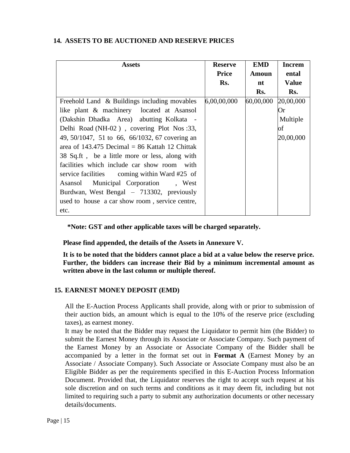# **14. ASSETS TO BE AUCTIONED AND RESERVE PRICES**

| <b>Assets</b>                                  | <b>Reserve</b> | <b>EMD</b>   | <b>Increm</b> |
|------------------------------------------------|----------------|--------------|---------------|
|                                                | <b>Price</b>   | <b>Amoun</b> | ental         |
|                                                | Rs.            | nt           | <b>Value</b>  |
|                                                |                | Rs.          | Rs.           |
| Freehold Land & Buildings including movables   | 6,00,00,000    | 60,00,000    | 20,00,000     |
| like plant & machinery located at Asansol      |                |              | Or            |
| (Dakshin Dhadka Area) abutting Kolkata -       |                |              | Multiple      |
| Delhi Road (NH-02), covering Plot Nos:33,      |                |              | оf            |
| 49, 50/1047, 51 to 66, 66/1032, 67 covering an |                |              | 20,00,000     |
| area of 143.475 Decimal = 86 Kattah 12 Chittak |                |              |               |
| 38 Sq.ft, be a little more or less, along with |                |              |               |
| facilities which include car show room with    |                |              |               |
| service facilities coming within Ward #25 of   |                |              |               |
| Asansol Municipal Corporation, West            |                |              |               |
| Burdwan, West Bengal - 713302, previously      |                |              |               |
| used to house a car show room, service centre, |                |              |               |
| etc.                                           |                |              |               |

**\*Note: GST and other applicable taxes will be charged separately.**

**Please find appended, the details of the Assets in Annexure V.**

**It is to be noted that the bidders cannot place a bid at a value below the reserve price. Further, the bidders can increase their Bid by a minimum incremental amount as written above in the last column or multiple thereof.**

# **15. EARNEST MONEY DEPOSIT (EMD)**

All the E-Auction Process Applicants shall provide, along with or prior to submission of their auction bids, an amount which is equal to the 10% of the reserve price (excluding taxes), as earnest money.

It may be noted that the Bidder may request the Liquidator to permit him (the Bidder) to submit the Earnest Money through its Associate or Associate Company. Such payment of the Earnest Money by an Associate or Associate Company of the Bidder shall be accompanied by a letter in the format set out in **Format A** (Earnest Money by an Associate / Associate Company). Such Associate or Associate Company must also be an Eligible Bidder as per the requirements specified in this E-Auction Process Information Document. Provided that, the Liquidator reserves the right to accept such request at his sole discretion and on such terms and conditions as it may deem fit, including but not limited to requiring such a party to submit any authorization documents or other necessary details/documents.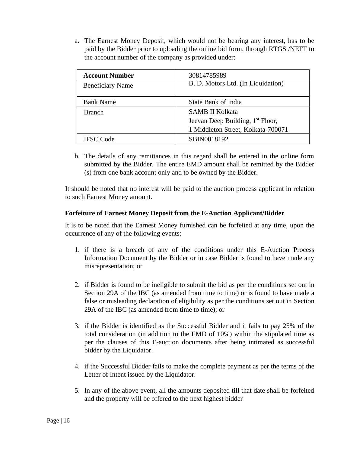a. The Earnest Money Deposit, which would not be bearing any interest, has to be paid by the Bidder prior to uploading the online bid form. through RTGS /NEFT to the account number of the company as provided under:

| <b>Account Number</b>                                         | 30814785989                                  |
|---------------------------------------------------------------|----------------------------------------------|
| B. D. Motors Ltd. (In Liquidation)<br><b>Beneficiary Name</b> |                                              |
|                                                               |                                              |
| <b>Bank Name</b>                                              | State Bank of India                          |
| <b>Branch</b>                                                 | <b>SAMB II Kolkata</b>                       |
|                                                               | Jeevan Deep Building, 1 <sup>st</sup> Floor, |
|                                                               | 1 Middleton Street, Kolkata-700071           |
| IFSC Code                                                     | SBIN0018192                                  |

b. The details of any remittances in this regard shall be entered in the online form submitted by the Bidder. The entire EMD amount shall be remitted by the Bidder (s) from one bank account only and to be owned by the Bidder.

It should be noted that no interest will be paid to the auction process applicant in relation to such Earnest Money amount.

#### **Forfeiture of Earnest Money Deposit from the E-Auction Applicant/Bidder**

It is to be noted that the Earnest Money furnished can be forfeited at any time, upon the occurrence of any of the following events:

- 1. if there is a breach of any of the conditions under this E-Auction Process Information Document by the Bidder or in case Bidder is found to have made any misrepresentation; or
- 2. if Bidder is found to be ineligible to submit the bid as per the conditions set out in Section 29A of the IBC (as amended from time to time) or is found to have made a false or misleading declaration of eligibility as per the conditions set out in Section 29A of the IBC (as amended from time to time); or
- 3. if the Bidder is identified as the Successful Bidder and it fails to pay 25% of the total consideration (in addition to the EMD of 10%) within the stipulated time as per the clauses of this E-auction documents after being intimated as successful bidder by the Liquidator.
- 4. if the Successful Bidder fails to make the complete payment as per the terms of the Letter of Intent issued by the Liquidator.
- 5. In any of the above event, all the amounts deposited till that date shall be forfeited and the property will be offered to the next highest bidder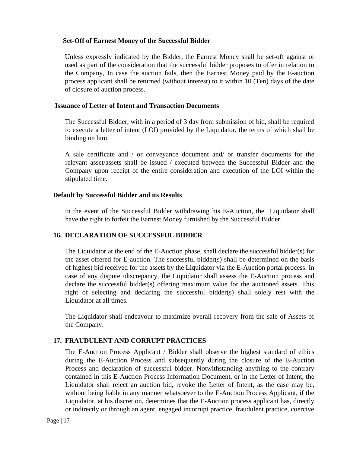#### **Set-Off of Earnest Money of the Successful Bidder**

Unless expressly indicated by the Bidder, the Earnest Money shall be set-off against or used as part of the consideration that the successful bidder proposes to offer in relation to the Company, In case the auction fails, then the Earnest Money paid by the E-auction process applicant shall be returned (without interest) to it within 10 (Ten) days of the date of closure of auction process.

#### **Issuance of Letter of Intent and Transaction Documents**

The Successful Bidder, with in a period of 3 day from submission of bid, shall be required to execute a letter of intent (LOI) provided by the Liquidator, the terms of which shall be binding on him.

A sale certificate and / or conveyance document and/ or transfer documents for the relevant asset/assets shall be issued / executed between the Successful Bidder and the Company upon receipt of the entire consideration and execution of the LOI within the stipulated time.

#### **Default by Successful Bidder and its Results**

In the event of the Successful Bidder withdrawing his E-Auction, the Liquidator shall have the right to forfeit the Earnest Money furnished by the Successful Bidder.

# **16. DECLARATION OF SUCCESSFUL BIDDER**

The Liquidator at the end of the E-Auction phase, shall declare the successful bidder(s) for the asset offered for E-auction. The successful bidder(s) shall be determined on the basis of highest bid received for the assets by the Liquidator via the E-Auction portal process. In case of any dispute /discrepancy, the Liquidator shall assess the E-Auction process and declare the successful bidder(s) offering maximum value for the auctioned assets. This right of selecting and declaring the successful bidder(s) shall solely rest with the Liquidator at all times.

The Liquidator shall endeavour to maximize overall recovery from the sale of Assets of the Company.

# **17. FRAUDULENT AND CORRUPT PRACTICES**

The E-Auction Process Applicant / Bidder shall observe the highest standard of ethics during the E-Auction Process and subsequently during the closure of the E-Auction Process and declaration of successful bidder. Notwithstanding anything to the contrary contained in this E-Auction Process Information Document, or in the Letter of Intent, the Liquidator shall reject an auction bid, revoke the Letter of Intent, as the case may be, without being liable in any manner whatsoever to the E-Auction Process Applicant, if the Liquidator, at his discretion, determines that the E-Auction process applicant has, directly or indirectly or through an agent, engaged incorrupt practice, fraudulent practice, coercive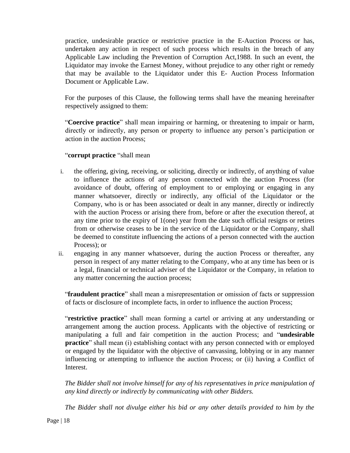practice, undesirable practice or restrictive practice in the E-Auction Process or has, undertaken any action in respect of such process which results in the breach of any Applicable Law including the Prevention of Corruption Act,1988. In such an event, the Liquidator may invoke the Earnest Money, without prejudice to any other right or remedy that may be available to the Liquidator under this E- Auction Process Information Document or Applicable Law.

For the purposes of this Clause, the following terms shall have the meaning hereinafter respectively assigned to them:

"**Coercive practice**" shall mean impairing or harming, or threatening to impair or harm, directly or indirectly, any person or property to influence any person's participation or action in the auction Process;

#### "**corrupt practice** "shall mean

- i. the offering, giving, receiving, or soliciting, directly or indirectly, of anything of value to influence the actions of any person connected with the auction Process (for avoidance of doubt, offering of employment to or employing or engaging in any manner whatsoever, directly or indirectly, any official of the Liquidator or the Company, who is or has been associated or dealt in any manner, directly or indirectly with the auction Process or arising there from, before or after the execution thereof, at any time prior to the expiry of 1(one) year from the date such official resigns or retires from or otherwise ceases to be in the service of the Liquidator or the Company, shall be deemed to constitute influencing the actions of a person connected with the auction Process); or
- ii. engaging in any manner whatsoever, during the auction Process or thereafter, any person in respect of any matter relating to the Company, who at any time has been or is a legal, financial or technical adviser of the Liquidator or the Company, in relation to any matter concerning the auction process;

"**fraudulent practice**" shall mean a misrepresentation or omission of facts or suppression of facts or disclosure of incomplete facts, in order to influence the auction Process;

"**restrictive practice**" shall mean forming a cartel or arriving at any understanding or arrangement among the auction process. Applicants with the objective of restricting or manipulating a full and fair competition in the auction Process; and "**undesirable practice**" shall mean (i) establishing contact with any person connected with or employed or engaged by the liquidator with the objective of canvassing, lobbying or in any manner influencing or attempting to influence the auction Process; or (ii) having a Conflict of Interest.

*The Bidder shall not involve himself for any of his representatives in price manipulation of any kind directly or indirectly by communicating with other Bidders.*

*The Bidder shall not divulge either his bid or any other details provided to him by the*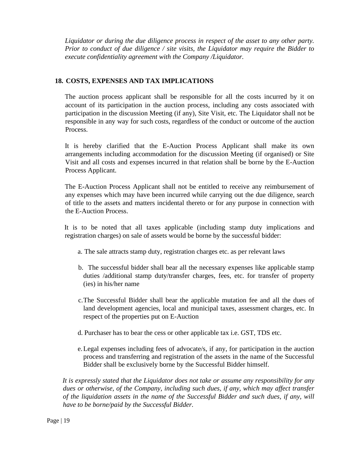*Liquidator or during the due diligence process in respect of the asset to any other party. Prior to conduct of due diligence / site visits, the Liquidator may require the Bidder to execute confidentiality agreement with the Company /Liquidator.*

# **18. COSTS, EXPENSES AND TAX IMPLICATIONS**

The auction process applicant shall be responsible for all the costs incurred by it on account of its participation in the auction process, including any costs associated with participation in the discussion Meeting (if any), Site Visit, etc. The Liquidator shall not be responsible in any way for such costs, regardless of the conduct or outcome of the auction Process.

It is hereby clarified that the E-Auction Process Applicant shall make its own arrangements including accommodation for the discussion Meeting (if organised) or Site Visit and all costs and expenses incurred in that relation shall be borne by the E-Auction Process Applicant.

The E-Auction Process Applicant shall not be entitled to receive any reimbursement of any expenses which may have been incurred while carrying out the due diligence, search of title to the assets and matters incidental thereto or for any purpose in connection with the E-Auction Process.

It is to be noted that all taxes applicable (including stamp duty implications and registration charges) on sale of assets would be borne by the successful bidder:

- a. The sale attracts stamp duty, registration charges etc. as per relevant laws
- b. The successful bidder shall bear all the necessary expenses like applicable stamp duties /additional stamp duty/transfer charges, fees, etc. for transfer of property (ies) in his/her name
- c.The Successful Bidder shall bear the applicable mutation fee and all the dues of land development agencies, local and municipal taxes, assessment charges, etc. In respect of the properties put on E-Auction
- d. Purchaser has to bear the cess or other applicable tax i.e. GST, TDS etc.
- e.Legal expenses including fees of advocate/s, if any, for participation in the auction process and transferring and registration of the assets in the name of the Successful Bidder shall be exclusively borne by the Successful Bidder himself.

*It is expressly stated that the Liquidator does not take or assume any responsibility for any dues or otherwise, of the Company, including such dues, if any, which may affect transfer of the liquidation assets in the name of the Successful Bidder and such dues, if any, will have to be borne/paid by the Successful Bidder.*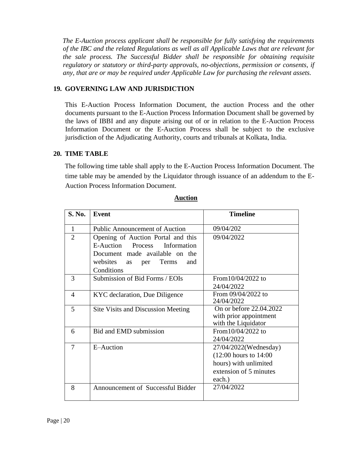*The E-Auction process applicant shall be responsible for fully satisfying the requirements of the IBC and the related Regulations as well as all Applicable Laws that are relevant for the sale process. The Successful Bidder shall be responsible for obtaining requisite regulatory or statutory or third-party approvals, no-objections, permission or consents, if any, that are or may be required under Applicable Law for purchasing the relevant assets.*

# **19. GOVERNING LAW AND JURISDICTION**

This E-Auction Process Information Document, the auction Process and the other documents pursuant to the E-Auction Process Information Document shall be governed by the laws of IBBI and any dispute arising out of or in relation to the E-Auction Process Information Document or the E-Auction Process shall be subject to the exclusive jurisdiction of the Adjudicating Authority, courts and tribunals at Kolkata, India.

# **20. TIME TABLE**

The following time table shall apply to the E-Auction Process Information Document. The time table may be amended by the Liquidator through issuance of an addendum to the E-Auction Process Information Document.

| S. No.         | <b>Event</b>                                                              | <b>Timeline</b>                                                                                                 |
|----------------|---------------------------------------------------------------------------|-----------------------------------------------------------------------------------------------------------------|
| 1              | <b>Public Announcement of Auction</b>                                     | 09/04/202                                                                                                       |
| $\overline{2}$ | Opening of Auction Portal and this<br>E-Auction<br>Process<br>Information | 09/04/2022                                                                                                      |
|                | Document made available on the                                            |                                                                                                                 |
|                | websites<br>Terms<br>and<br>per<br>as<br>Conditions                       |                                                                                                                 |
| 3              | Submission of Bid Forms / EOIs                                            | From $10/04/2022$ to<br>24/04/2022                                                                              |
| 4              | KYC declaration, Due Diligence                                            | From 09/04/2022 to<br>24/04/2022                                                                                |
| 5              | Site Visits and Discussion Meeting                                        | On or before 22.04.2022<br>with prior appointment<br>with the Liquidator                                        |
| 6              | Bid and EMD submission                                                    | From $10/04/2022$ to<br>24/04/2022                                                                              |
| 7              | E-Auction                                                                 | 27/04/2022(Wednesday)<br>$(12:00$ hours to $14:00$<br>hours) with unlimited<br>extension of 5 minutes<br>each.) |
| 8              | Announcement of Successful Bidder                                         | 27/04/2022                                                                                                      |

#### **Auction**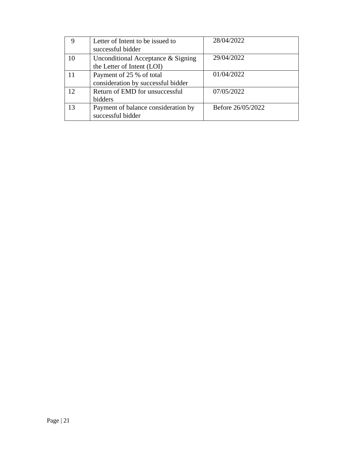| 9  | Letter of Intent to be issued to    | 28/04/2022        |
|----|-------------------------------------|-------------------|
|    | successful bidder                   |                   |
| 10 | Unconditional Acceptance & Signing  | 29/04/2022        |
|    | the Letter of Intent (LOI)          |                   |
| 11 | Payment of 25 % of total            | 01/04/2022        |
|    | consideration by successful bidder  |                   |
| 12 | Return of EMD for unsuccessful      | 07/05/2022        |
|    | bidders                             |                   |
| 13 | Payment of balance consideration by | Before 26/05/2022 |
|    | successful bidder                   |                   |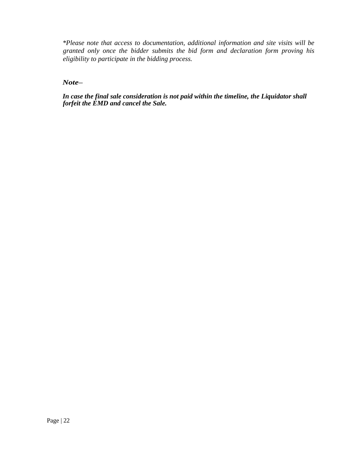*\*Please note that access to documentation, additional information and site visits will be granted only once the bidder submits the bid form and declaration form proving his eligibility to participate in the bidding process.*

*Note–*

*In case the final sale consideration is not paid within the timeline, the Liquidator shall forfeit the EMD and cancel the Sale.*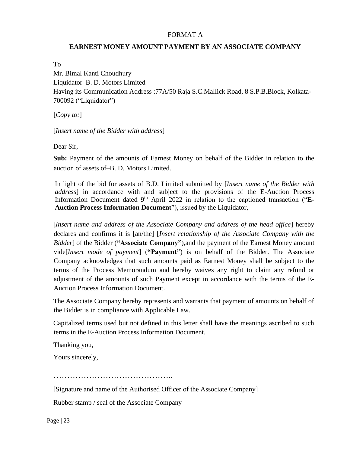#### FORMAT A

#### **EARNEST MONEY AMOUNT PAYMENT BY AN ASSOCIATE COMPANY**

To

Mr. Bimal Kanti Choudhury Liquidator–B. D. Motors Limited Having its Communication Address :77A/50 Raja S.C.Mallick Road, 8 S.P.B.Block, Kolkata-700092 ("Liquidator")

[*Copy to:*]

[*Insert name of the Bidder with address*]

Dear Sir,

**Sub:** Payment of the amounts of Earnest Money on behalf of the Bidder in relation to the auction of assets of–B. D. Motors Limited.

In light of the bid for assets of B.D. Limited submitted by [*Insert name of the Bidder with address*] in accordance with and subject to the provisions of the E-Auction Process Information Document dated 9<sup>th</sup> April 2022 in relation to the captioned transaction ("E-**Auction Process Information Document**"), issued by the Liquidator,

[*Insert name and address of the Associate Company and address of the head office*] hereby declares and confirms it is [an/the] [*Insert relationship of the Associate Company with the Bidder*] of the Bidder (**"Associate Company"**),and the payment of the Earnest Money amount vide[*Insert mode of payment*] (**"Payment"**) is on behalf of the Bidder. The Associate Company acknowledges that such amounts paid as Earnest Money shall be subject to the terms of the Process Memorandum and hereby waives any right to claim any refund or adjustment of the amounts of such Payment except in accordance with the terms of the E-Auction Process Information Document.

The Associate Company hereby represents and warrants that payment of amounts on behalf of the Bidder is in compliance with Applicable Law.

Capitalized terms used but not defined in this letter shall have the meanings ascribed to such terms in the E-Auction Process Information Document.

Thanking you,

Yours sincerely,

……………………………………..

[Signature and name of the Authorised Officer of the Associate Company]

Rubber stamp / seal of the Associate Company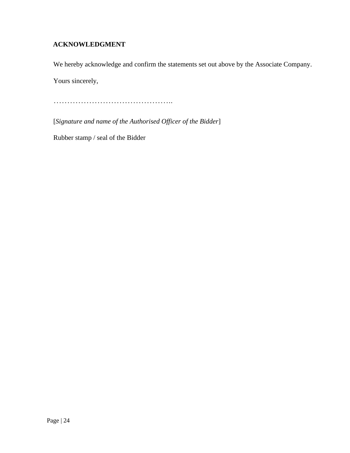# **ACKNOWLEDGMENT**

We hereby acknowledge and confirm the statements set out above by the Associate Company.

Yours sincerely,

……………………………………..

[*Signature and name of the Authorised Officer of the Bidder*]

Rubber stamp / seal of the Bidder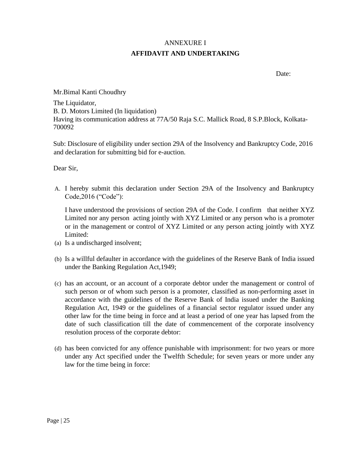# ANNEXURE I **AFFIDAVIT AND UNDERTAKING**

Date:

Mr.Bimal Kanti Choudhry

The Liquidator, B. D. Motors Limited (In liquidation) Having its communication address at 77A/50 Raja S.C. Mallick Road, 8 S.P.Block, Kolkata-700092

Sub: Disclosure of eligibility under section 29A of the Insolvency and Bankruptcy Code, 2016 and declaration for submitting bid for e-auction.

Dear Sir,

A. I hereby submit this declaration under Section 29A of the Insolvency and Bankruptcy Code,2016 ("Code"):

I have understood the provisions of section 29A of the Code. I confirm that neither XYZ Limited nor any person acting jointly with XYZ Limited or any person who is a promoter or in the management or control of XYZ Limited or any person acting jointly with XYZ Limited:

- (a) Is a undischarged insolvent;
- (b) Is a willful defaulter in accordance with the guidelines of the Reserve Bank of India issued under the Banking Regulation Act,1949;
- (c) has an account, or an account of a corporate debtor under the management or control of such person or of whom such person is a promoter, classified as non-performing asset in accordance with the guidelines of the Reserve Bank of India issued under the Banking Regulation Act, 1949 or the guidelines of a financial sector regulator issued under any other law for the time being in force and at least a period of one year has lapsed from the date of such classification till the date of commencement of the corporate insolvency resolution process of the corporate debtor:
- (d) has been convicted for any offence punishable with imprisonment: for two years or more under any Act specified under the Twelfth Schedule; for seven years or more under any law for the time being in force: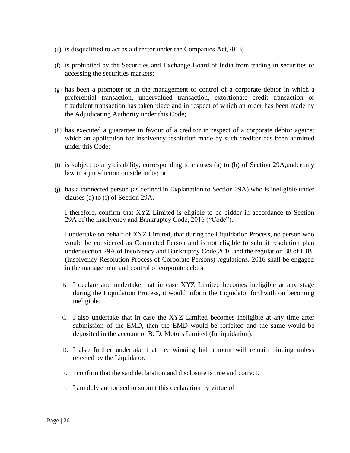- (e) is disqualified to act as a director under the Companies Act,2013;
- (f) is prohibited by the Securities and Exchange Board of India from trading in securities or accessing the securities markets;
- (g) has been a promoter or in the management or control of a corporate debtor in which a preferential transaction, undervalued transaction, extortionate credit transaction or fraudulent transaction has taken place and in respect of which an order has been made by the Adjudicating Authority under this Code;
- (h) has executed a guarantee in favour of a creditor in respect of a corporate debtor against which an application for insolvency resolution made by such creditor has been admitted under this Code;
- (i) is subject to any disability, corresponding to clauses (a) to (h) of Section 29A,under any law in a jurisdiction outside India; or
- (j) has a connected person (as defined in Explanation to Section 29A) who is ineligible under clauses (a) to (i) of Section 29A.

I therefore, confirm that XYZ Limited is eligible to be bidder in accordance to Section 29A of the Insolvency and Bankruptcy Code, 2016 ("Code").

I undertake on behalf of XYZ Limited, that during the Liquidation Process, no person who would be considered as Connected Person and is not eligible to submit resolution plan under section 29A of Insolvency and Bankruptcy Code,2016 and the regulation 38 of IBBI (Insolvency Resolution Process of Corporate Persons) regulations, 2016 shall be engaged in the management and control of corporate debtor.

- B. I declare and undertake that in case XYZ Limited becomes ineligible at any stage during the Liquidation Process, it would inform the Liquidator forthwith on becoming ineligible.
- C. I also undertake that in case the XYZ Limited becomes ineligible at any time after submission of the EMD, then the EMD would be forfeited and the same would be deposited in the account of B. D. Motors Limited (In liquidation).
- D. I also further undertake that my winning bid amount will remain binding unless rejected by the Liquidator.
- E. I confirm that the said declaration and disclosure is true and correct.
- F. I am duly authorised to submit this declaration by virtue of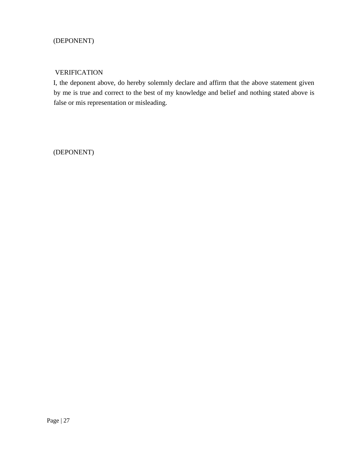# (DEPONENT)

### VERIFICATION

I, the deponent above, do hereby solemnly declare and affirm that the above statement given by me is true and correct to the best of my knowledge and belief and nothing stated above is false or mis representation or misleading.

(DEPONENT)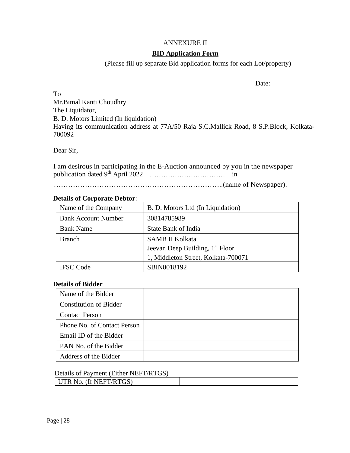# ANNEXURE II

#### **BID Application Form**

(Please fill up separate Bid application forms for each Lot/property)

Date:

To Mr.Bimal Kanti Choudhry The Liquidator, B. D. Motors Limited (In liquidation) Having its communication address at 77A/50 Raja S.C.Mallick Road, 8 S.P.Block, Kolkata-700092

Dear Sir,

I am desirous in participating in the E-Auction announced by you in the newspaper publication dated 9 th April 2022 ……………………………. in

……………………………………………………………..(name of Newspaper).

#### **Details of Corporate Debtor**:

| Name of the Company        | B. D. Motors Ltd (In Liquidation)           |
|----------------------------|---------------------------------------------|
| <b>Bank Account Number</b> | 30814785989                                 |
| <b>Bank Name</b>           | <b>State Bank of India</b>                  |
| <b>Branch</b>              | <b>SAMB II Kolkata</b>                      |
|                            | Jeevan Deep Building, 1 <sup>st</sup> Floor |
|                            | 1, Middleton Street, Kolkata-700071         |
| <b>IFSC</b> Code           | SBIN0018192                                 |

#### **Details of Bidder**

| Name of the Bidder            |  |
|-------------------------------|--|
| <b>Constitution of Bidder</b> |  |
| <b>Contact Person</b>         |  |
| Phone No. of Contact Person   |  |
| Email ID of the Bidder        |  |
| PAN No. of the Bidder         |  |
| Address of the Bidder         |  |

#### Details of Payment (Either NEFT/RTGS)

UTR No. (If NEFT/RTGS)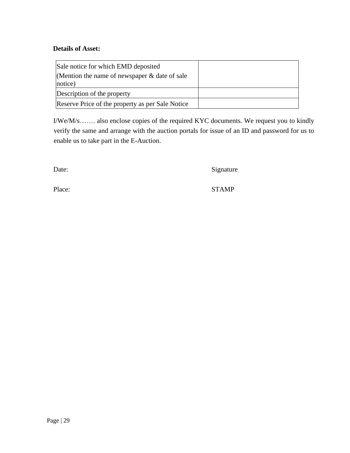#### **Details of Asset:**

| Sale notice for which EMD deposited<br>(Mention the name of newspaper $\&$ date of sale<br>notice) |  |
|----------------------------------------------------------------------------------------------------|--|
| Description of the property                                                                        |  |
| Reserve Price of the property as per Sale Notice                                                   |  |

I/We/M/s……. also enclose copies of the required KYC documents. We request you to kindly verify the same and arrange with the auction portals for issue of an ID and password for us to enable us to take part in the E-Auction.

Date: Signature

Place: STAMP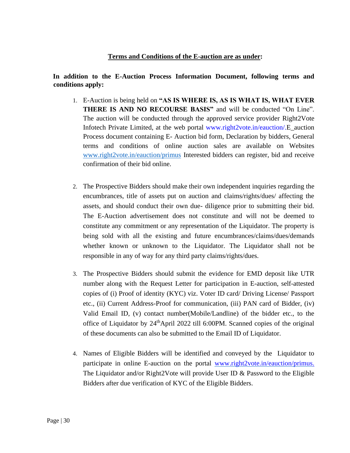#### **Terms and Conditions of the E-auction are as under:**

#### **In addition to the E-Auction Process Information Document, following terms and conditions apply:**

- 1. E-Auction is being held on **"AS IS WHERE IS, AS IS WHAT IS, WHAT EVER THERE IS AND NO RECOURSE BASIS"** and will be conducted "On Line". The auction will be conducted through the approved service provider Right2Vote Infotech Private Limited, at the web portal [www.right2vote.in/eauction/.E](http://www.right2vote.in/eauction/)\_auction Process document containing E- Auction bid form, Declaration by bidders, General terms and conditions of online auction sales are available on Websites [www.right2vote.in/eauction/primus](http://www.right2vote.in/eauction/primus) Interested bidders can register, bid and receive confirmation of their bid online.
- 2. The Prospective Bidders should make their own independent inquiries regarding the encumbrances, title of assets put on auction and claims/rights/dues/ affecting the assets, and should conduct their own due- diligence prior to submitting their bid. The E-Auction advertisement does not constitute and will not be deemed to constitute any commitment or any representation of the Liquidator. The property is being sold with all the existing and future encumbrances/claims/dues/demands whether known or unknown to the Liquidator. The Liquidator shall not be responsible in any of way for any third party claims/rights/dues.
- 3. The Prospective Bidders should submit the evidence for EMD deposit like UTR number along with the Request Letter for participation in E-auction, self-attested copies of (i) Proof of identity (KYC) viz. Voter ID card/ Driving License/ Passport etc., (ii) Current Address-Proof for communication, (iii) PAN card of Bidder, (iv) Valid Email ID, (v) contact number(Mobile/Landline) of the bidder etc., to the office of Liquidator by 24<sup>th</sup>April 2022 till 6:00PM. Scanned copies of the original of these documents can also be submitted to the Email ID of Liquidator.
- 4. Names of Eligible Bidders will be identified and conveyed by the Liquidator to participate in online E-auction on the portal [www.right2vote.in/eauction/primus.](http://www.right2vote.in/eauction/primus.%20The)  [The](http://www.right2vote.in/eauction/primus.%20The) Liquidator and/or Right2Vote will provide User ID  $\&$  Password to the Eligible Bidders after due verification of KYC of the Eligible Bidders.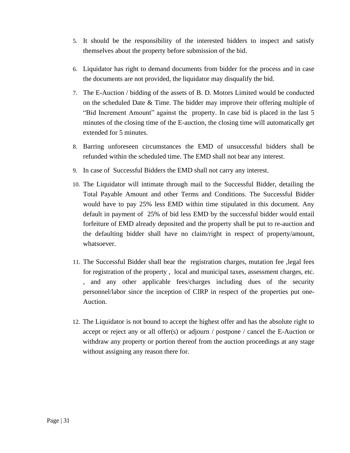- 5. It should be the responsibility of the interested bidders to inspect and satisfy themselves about the property before submission of the bid.
- 6. Liquidator has right to demand documents from bidder for the process and in case the documents are not provided, the liquidator may disqualify the bid.
- 7. The E-Auction / bidding of the assets of B. D. Motors Limited would be conducted on the scheduled Date & Time. The bidder may improve their offering multiple of "Bid Increment Amount" against the property. In case bid is placed in the last 5 minutes of the closing time of the E-auction, the closing time will automatically get extended for 5 minutes.
- 8. Barring unforeseen circumstances the EMD of unsuccessful bidders shall be refunded within the scheduled time. The EMD shall not bear any interest.
- 9. In case of Successful Bidders the EMD shall not carry any interest.
- 10. The Liquidator will intimate through mail to the Successful Bidder, detailing the Total Payable Amount and other Terms and Conditions. The Successful Bidder would have to pay 25% less EMD within time stipulated in this document. Any default in payment of 25% of bid less EMD by the successful bidder would entail forfeiture of EMD already deposited and the property shall be put to re-auction and the defaulting bidder shall have no claim/right in respect of property/amount, whatsoever.
- 11. The Successful Bidder shall bear the registration charges, mutation fee ,legal fees for registration of the property , local and municipal taxes, assessment charges, etc. , and any other applicable fees/charges including dues of the security personnel/labor since the inception of CIRP in respect of the properties put one-Auction.
- 12. The Liquidator is not bound to accept the highest offer and has the absolute right to accept or reject any or all offer(s) or adjourn / postpone / cancel the E-Auction or withdraw any property or portion thereof from the auction proceedings at any stage without assigning any reason there for.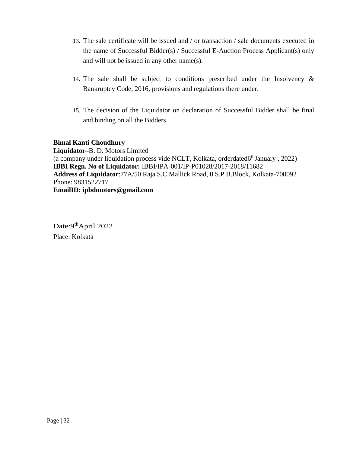- 13. The sale certificate will be issued and / or transaction / sale documents executed in the name of Successful Bidder(s) / Successful E-Auction Process Applicant(s) only and will not be issued in any other name(s).
- 14. The sale shall be subject to conditions prescribed under the Insolvency & Bankruptcy Code, 2016, provisions and regulations there under.
- 15. The decision of the Liquidator on declaration of Successful Bidder shall be final and binding on all the Bidders.

#### **Bimal Kanti Choudhury**

**Liquidator–**B. D. Motors Limited (a company under liquidation process vide NCLT, Kolkata, orderdated6<sup>th</sup>January, 2022) **IBBI Regn. No of Liquidator:** IBBI/IPA-001/IP-P01028/2017-2018/11682 **Address of Liquidator**:77A/50 Raja S.C.Mallick Road, 8 S.P.B.Block, Kolkata-700092 Phone: 9831522717 **EmailID: ipbdmotors@gmail.com**

Date: 9<sup>th</sup>April 2022 Place: Kolkata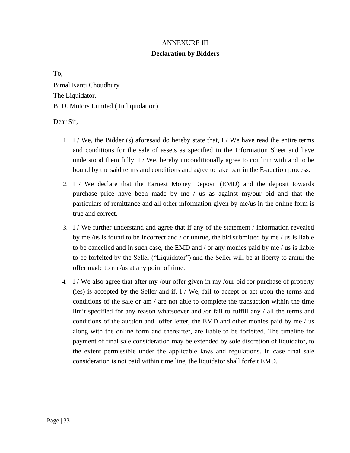# ANNEXURE III

# **Declaration by Bidders**

To,

Bimal Kanti Choudhury The Liquidator, B. D. Motors Limited ( In liquidation)

Dear Sir,

- 1. I / We, the Bidder (s) aforesaid do hereby state that, I / We have read the entire terms and conditions for the sale of assets as specified in the Information Sheet and have understood them fully. I / We, hereby unconditionally agree to confirm with and to be bound by the said terms and conditions and agree to take part in the E-auction process.
- 2. I / We declare that the Earnest Money Deposit (EMD) and the deposit towards purchase–price have been made by me / us as against my/our bid and that the particulars of remittance and all other information given by me/us in the online form is true and correct.
- 3. I / We further understand and agree that if any of the statement / information revealed by me /us is found to be incorrect and / or untrue, the bid submitted by me / us is liable to be cancelled and in such case, the EMD and / or any monies paid by me / us is liable to be forfeited by the Seller ("Liquidator") and the Seller will be at liberty to annul the offer made to me/us at any point of time.
- 4. I / We also agree that after my /our offer given in my /our bid for purchase of property (ies) is accepted by the Seller and if,  $I / We$ , fail to accept or act upon the terms and conditions of the sale or am / are not able to complete the transaction within the time limit specified for any reason whatsoever and /or fail to fulfill any / all the terms and conditions of the auction and offer letter, the EMD and other monies paid by me / us along with the online form and thereafter, are liable to be forfeited. The timeline for payment of final sale consideration may be extended by sole discretion of liquidator, to the extent permissible under the applicable laws and regulations. In case final sale consideration is not paid within time line, the liquidator shall forfeit EMD.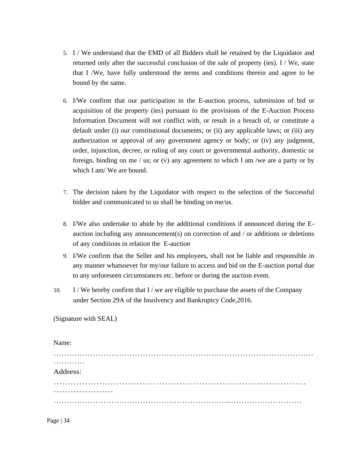- 5. I / We understand that the EMD of all Bidders shall be retained by the Liquidator and returned only after the successful conclusion of the sale of property (ies). I / We, state that I /We, have fully understood the terms and conditions therein and agree to be bound by the same.
- 6. I/We confirm that our participation in the E-auction process, submission of bid or acquisition of the property (ies) pursuant to the provisions of the E-Auction Process Information Document will not conflict with, or result in a breach of, or constitute a default under (i) our constitutional documents; or (ii) any applicable laws; or (iii) any authorization or approval of any government agency or body; or (iv) any judgment, order, injunction, decree, or ruling of any court or governmental authority, domestic or foreign, binding on me / us; or (v) any agreement to which I am /we are a party or by which I am/ We are bound.
- 7. The decision taken by the Liquidator with respect to the selection of the Successful bidder and communicated to us shall be binding on me/us.
- 8. I/We also undertake to abide by the additional conditions if announced during the Eauction including any announcement(s) on correction of and / or additions or deletions of any conditions in relation the E-auction
- 9. I/We confirm that the Seller and his employees, shall not be liable and responsible in any manner whatsoever for my/our failure to access and bid on the E-auction portal due to any unforeseen circumstances etc. before or during the auction event.
- 10. I / We hereby confirm that I / we are eligible to purchase the assets of the Company under Section 29A of the Insolvency and Bankruptcy Code,2016.

(Signature with SEAL)

| Name:    |  |
|----------|--|
|          |  |
| .        |  |
| Address: |  |
|          |  |
|          |  |
|          |  |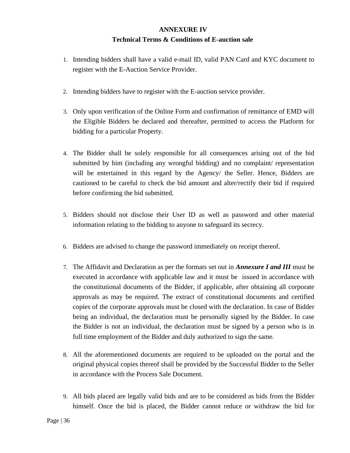# **ANNEXURE IV Technical Terms & Conditions of E-auction sale**

- 1. Intending bidders shall have a valid e-mail ID, valid PAN Card and KYC document to register with the E-Auction Service Provider.
- 2. Intending bidders have to register with the E-auction service provider.
- 3. Only upon verification of the Online Form and confirmation of remittance of EMD will the Eligible Bidders be declared and thereafter, permitted to access the Platform for bidding for a particular Property.
- 4. The Bidder shall be solely responsible for all consequences arising out of the bid submitted by him (including any wrongful bidding) and no complaint/ representation will be entertained in this regard by the Agency he Seller. Hence, Bidders are cautioned to be careful to check the bid amount and alter/rectify their bid if required before confirming the bid submitted.
- 5. Bidders should not disclose their User ID as well as password and other material information relating to the bidding to anyone to safeguard its secrecy.
- 6. Bidders are advised to change the password immediately on receipt thereof.
- 7. The Affidavit and Declaration as per the formats set out in *Annexure I and III* must be executed in accordance with applicable law and it must be issued in accordance with the constitutional documents of the Bidder, if applicable, after obtaining all corporate approvals as may be required. The extract of constitutional documents and certified copies of the corporate approvals must be closed with the declaration. In case of Bidder being an individual, the declaration must be personally signed by the Bidder. In case the Bidder is not an individual, the declaration must be signed by a person who is in full time employment of the Bidder and duly authorized to sign the same.
- 8. All the aforementioned documents are required to be uploaded on the portal and the original physical copies thereof shall be provided by the Successful Bidder to the Seller in accordance with the Process Sale Document.
- 9. All bids placed are legally valid bids and are to be considered as bids from the Bidder himself. Once the bid is placed, the Bidder cannot reduce or withdraw the bid for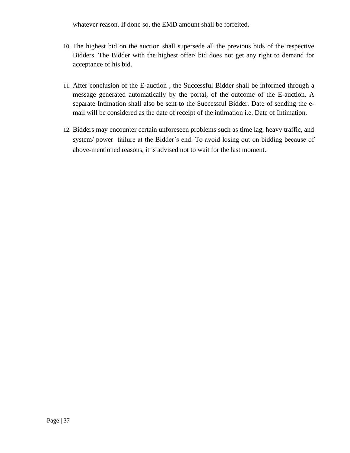whatever reason. If done so, the EMD amount shall be forfeited.

- 10. The highest bid on the auction shall supersede all the previous bids of the respective Bidders. The Bidder with the highest offer/ bid does not get any right to demand for acceptance of his bid.
- 11. After conclusion of the E-auction , the Successful Bidder shall be informed through a message generated automatically by the portal, of the outcome of the E-auction. A separate Intimation shall also be sent to the Successful Bidder. Date of sending the email will be considered as the date of receipt of the intimation i.e. Date of Intimation.
- 12. Bidders may encounter certain unforeseen problems such as time lag, heavy traffic, and system/ power failure at the Bidder's end. To avoid losing out on bidding because of above-mentioned reasons, it is advised not to wait for the last moment.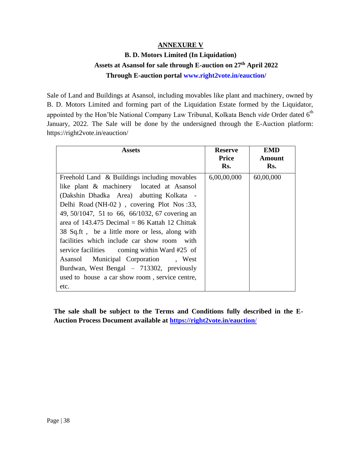# **ANNEXURE V**

# **B. D. Motors Limited (In Liquidation) Assets at Asansol for sale through E-auction on 27th April 2022 Through E-auction portal [www.right2vote.in/eauction/](http://www.right2vote.in/eauction/)**

Sale of Land and Buildings at Asansol, including movables like plant and machinery, owned by B. D. Motors Limited and forming part of the Liquidation Estate formed by the Liquidator, appointed by the Hon'ble National Company Law Tribunal, Kolkata Bench *vide* Order dated 6<sup>th</sup> January, 2022. The Sale will be done by the undersigned through the E-Auction platform: https://right2vote.in/eauction/

| <b>Assets</b>                                  | <b>Reserve</b> | <b>EMD</b> |
|------------------------------------------------|----------------|------------|
|                                                | Price          | Amount     |
|                                                | Rs.            | Rs.        |
| Freehold Land & Buildings including movables   | 6,00,00,000    | 60,00,000  |
| like plant & machinery located at Asansol      |                |            |
| (Dakshin Dhadka Area) abutting Kolkata -       |                |            |
| Delhi Road (NH-02), covering Plot Nos :33,     |                |            |
| 49, 50/1047, 51 to 66, 66/1032, 67 covering an |                |            |
| area of 143.475 Decimal = 86 Kattah 12 Chittak |                |            |
| 38 Sq.ft, be a little more or less, along with |                |            |
| facilities which include car show room with    |                |            |
| service facilities coming within Ward #25 of   |                |            |
| Asansol Municipal Corporation, West            |                |            |
| Burdwan, West Bengal - 713302, previously      |                |            |
| used to house a car show room, service centre, |                |            |
| etc.                                           |                |            |

**The sale shall be subject to the Terms and Conditions fully described in the E-Auction Process Document available at [https://right2vote.in/eauction](https://right2vote.in/eauction/)**/